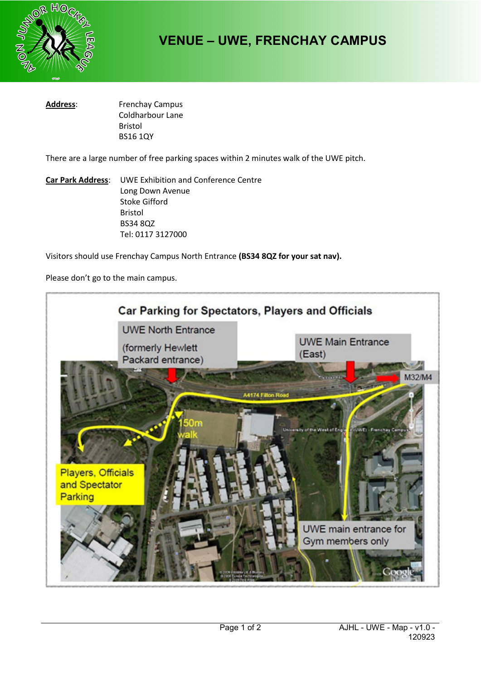

# **VENUE – UWE, FRENCHAY CAMPUS**

**Address**: Frenchay Campus Coldharbour Lane Bristol BS16 1QY

There are a large number of free parking spaces within 2 minutes walk of the UWE pitch.

**Car Park Address**: UWE Exhibition and Conference Centre Long Down Avenue Stoke Gifford Bristol BS34 8QZ Tel: 0117 3127000

Visitors should use Frenchay Campus North Entrance **(BS34 8QZ for your sat nav).** 

Please don't go to the main campus.